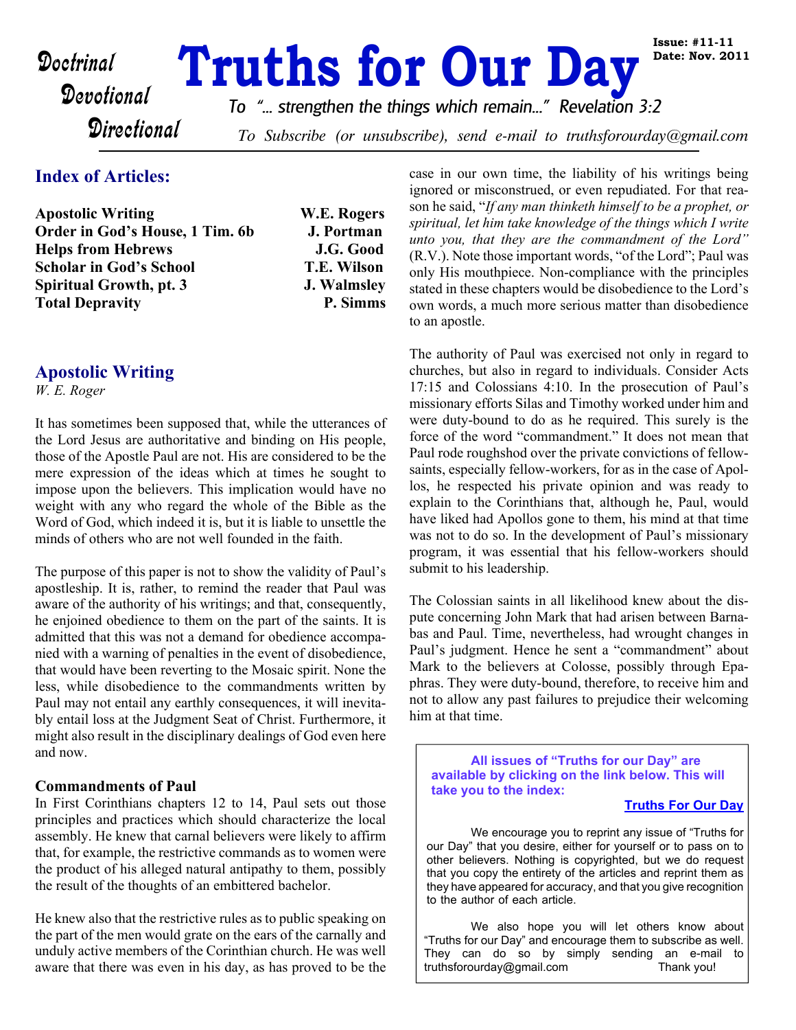# **Doctrinal Truths for Our Day**

**W.E. Rogers J. Portman J.G. Good Scholar in God's School T.E. Wilson J. Walmsley P. Simms** 

*To "... strengthen the things which remain..." Revelation 3:2*

**Directional** 

To Subscribe (or unsubscribe), send e-mail to truthsforourday@gmail.com

# **Index of Articles:**

| <b>Apostolic Writing</b>        |  |
|---------------------------------|--|
| Order in God's House, 1 Tim. 6b |  |
| <b>Helps from Hebrews</b>       |  |
| <b>Scholar in God's School</b>  |  |
| Spiritual Growth, pt. 3         |  |
| <b>Total Depravity</b>          |  |

# **Apostolic Writing**

*W. E. Roger*

It has sometimes been supposed that, while the utterances of the Lord Jesus are authoritative and binding on His people, those of the Apostle Paul are not. His are considered to be the mere expression of the ideas which at times he sought to impose upon the believers. This implication would have no weight with any who regard the whole of the Bible as the Word of God, which indeed it is, but it is liable to unsettle the minds of others who are not well founded in the faith.

The purpose of this paper is not to show the validity of Paul's apostleship. It is, rather, to remind the reader that Paul was aware of the authority of his writings; and that, consequently, he enjoined obedience to them on the part of the saints. It is admitted that this was not a demand for obedience accompanied with a warning of penalties in the event of disobedience, that would have been reverting to the Mosaic spirit. None the less, while disobedience to the commandments written by Paul may not entail any earthly consequences, it will inevitably entail loss at the Judgment Seat of Christ. Furthermore, it might also result in the disciplinary dealings of God even here and now.

#### **Commandments of Paul**

In First Corinthians chapters 12 to 14, Paul sets out those principles and practices which should characterize the local assembly. He knew that carnal believers were likely to affirm that, for example, the restrictive commands as to women were the product of his alleged natural antipathy to them, possibly the result of the thoughts of an embittered bachelor.

He knew also that the restrictive rules as to public speaking on the part of the men would grate on the ears of the carnally and unduly active members of the Corinthian church. He was well aware that there was even in his day, as has proved to be the case in our own time, the liability of his writings being ignored or misconstrued, or even repudiated. For that reason he said, "*If any man thinketh himself to be a prophet, or spiritual, let him take knowledge of the things which I write unto you, that they are the commandment of the Lord"* (R.V.). Note those important words, "of the Lord"; Paul was only His mouthpiece. Non-compliance with the principles stated in these chapters would be disobedience to the Lord's own words, a much more serious matter than disobedience to an apostle.

The authority of Paul was exercised not only in regard to churches, but also in regard to individuals. Consider Acts 17:15 and Colossians 4:10. In the prosecution of Paul's missionary efforts Silas and Timothy worked under him and were duty-bound to do as he required. This surely is the force of the word "commandment." It does not mean that Paul rode roughshod over the private convictions of fellowsaints, especially fellow-workers, for as in the case of Apollos, he respected his private opinion and was ready to explain to the Corinthians that, although he, Paul, would have liked had Apollos gone to them, his mind at that time was not to do so. In the development of Paul's missionary program, it was essential that his fellow-workers should submit to his leadership.

The Colossian saints in all likelihood knew about the dispute concerning John Mark that had arisen between Barnabas and Paul. Time, nevertheless, had wrought changes in Paul's judgment. Hence he sent a "commandment" about Mark to the believers at Colosse, possibly through Epaphras. They were duty-bound, therefore, to receive him and not to allow any past failures to prejudice their welcoming him at that time.

**All issues of "Truths for our Day" are available by clicking on the link below. This will take you to the index:**

#### **[Truths For Our Day](http://truthsforourday.com)**

 We encourage you to reprint any issue of "Truths for our Day" that you desire, either for yourself or to pass on to other believers. Nothing is copyrighted, but we do request that you copy the entirety of the articles and reprint them as they have appeared for accuracy, and that you give recognition to the author of each article.

 We also hope you will let others know about "Truths for our Day" and encourage them to subscribe as well. They can do so by simply sending an e-mail to truthsforourday@gmail.com Thank you!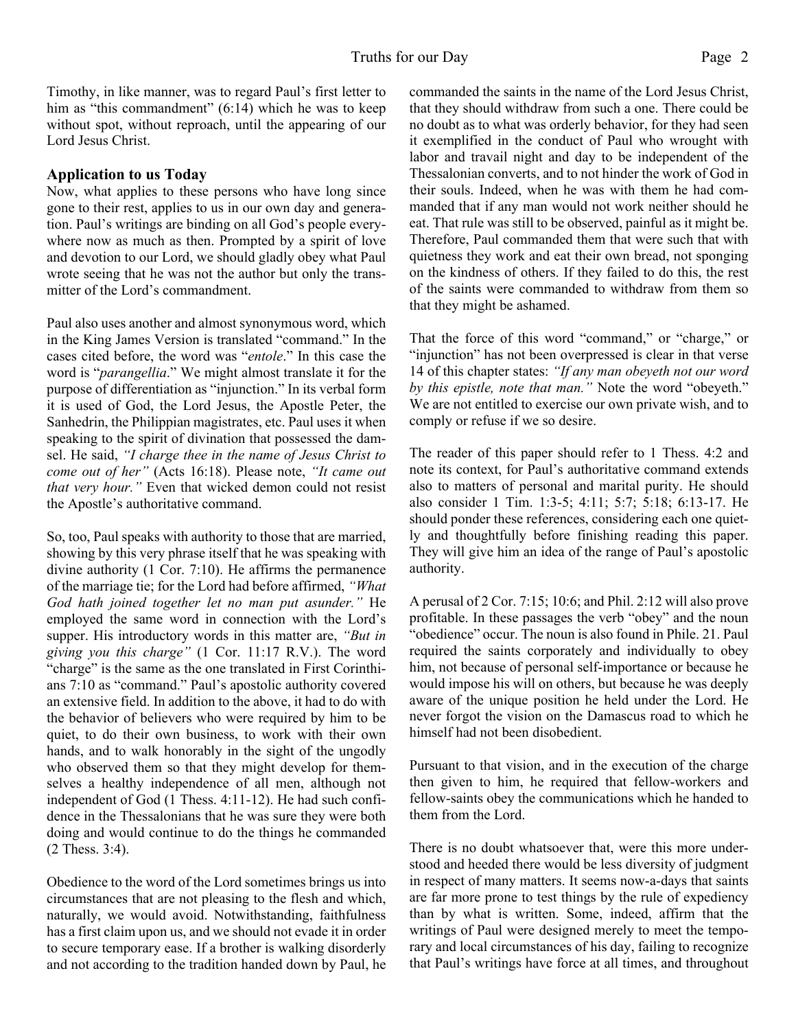Timothy, in like manner, was to regard Paul's first letter to him as "this commandment" (6:14) which he was to keep without spot, without reproach, until the appearing of our Lord Jesus Christ.

#### **Application to us Today**

Now, what applies to these persons who have long since gone to their rest, applies to us in our own day and generation. Paul's writings are binding on all God's people everywhere now as much as then. Prompted by a spirit of love and devotion to our Lord, we should gladly obey what Paul wrote seeing that he was not the author but only the transmitter of the Lord's commandment.

Paul also uses another and almost synonymous word, which in the King James Version is translated "command." In the cases cited before, the word was "*entole*." In this case the word is "*parangellia*." We might almost translate it for the purpose of differentiation as "injunction." In its verbal form it is used of God, the Lord Jesus, the Apostle Peter, the Sanhedrin, the Philippian magistrates, etc. Paul uses it when speaking to the spirit of divination that possessed the damsel. He said, *"I charge thee in the name of Jesus Christ to come out of her"* (Acts 16:18). Please note, *"It came out that very hour."* Even that wicked demon could not resist the Apostle's authoritative command.

So, too, Paul speaks with authority to those that are married, showing by this very phrase itself that he was speaking with divine authority (1 Cor. 7:10). He affirms the permanence of the marriage tie; for the Lord had before affirmed, *"What God hath joined together let no man put asunder."* He employed the same word in connection with the Lord's supper. His introductory words in this matter are, *"But in giving you this charge"* (1 Cor. 11:17 R.V.). The word "charge" is the same as the one translated in First Corinthians 7:10 as "command." Paul's apostolic authority covered an extensive field. In addition to the above, it had to do with the behavior of believers who were required by him to be quiet, to do their own business, to work with their own hands, and to walk honorably in the sight of the ungodly who observed them so that they might develop for themselves a healthy independence of all men, although not independent of God (1 Thess. 4:11-12). He had such confidence in the Thessalonians that he was sure they were both doing and would continue to do the things he commanded (2 Thess. 3:4).

Obedience to the word of the Lord sometimes brings us into circumstances that are not pleasing to the flesh and which, naturally, we would avoid. Notwithstanding, faithfulness has a first claim upon us, and we should not evade it in order to secure temporary ease. If a brother is walking disorderly and not according to the tradition handed down by Paul, he commanded the saints in the name of the Lord Jesus Christ, that they should withdraw from such a one. There could be no doubt as to what was orderly behavior, for they had seen it exemplified in the conduct of Paul who wrought with labor and travail night and day to be independent of the Thessalonian converts, and to not hinder the work of God in their souls. Indeed, when he was with them he had commanded that if any man would not work neither should he eat. That rule was still to be observed, painful as it might be. Therefore, Paul commanded them that were such that with quietness they work and eat their own bread, not sponging on the kindness of others. If they failed to do this, the rest of the saints were commanded to withdraw from them so that they might be ashamed.

That the force of this word "command," or "charge," or "injunction" has not been overpressed is clear in that verse 14 of this chapter states: *"If any man obeyeth not our word by this epistle, note that man."* Note the word "obeyeth." We are not entitled to exercise our own private wish, and to comply or refuse if we so desire.

The reader of this paper should refer to 1 Thess. 4:2 and note its context, for Paul's authoritative command extends also to matters of personal and marital purity. He should also consider 1 Tim. 1:3-5; 4:11; 5:7; 5:18; 6:13-17. He should ponder these references, considering each one quietly and thoughtfully before finishing reading this paper. They will give him an idea of the range of Paul's apostolic authority.

A perusal of 2 Cor. 7:15; 10:6; and Phil. 2:12 will also prove profitable. In these passages the verb "obey" and the noun "obedience" occur. The noun is also found in Phile. 21. Paul required the saints corporately and individually to obey him, not because of personal self-importance or because he would impose his will on others, but because he was deeply aware of the unique position he held under the Lord. He never forgot the vision on the Damascus road to which he himself had not been disobedient.

Pursuant to that vision, and in the execution of the charge then given to him, he required that fellow-workers and fellow-saints obey the communications which he handed to them from the Lord.

There is no doubt whatsoever that, were this more understood and heeded there would be less diversity of judgment in respect of many matters. It seems now-a-days that saints are far more prone to test things by the rule of expediency than by what is written. Some, indeed, affirm that the writings of Paul were designed merely to meet the temporary and local circumstances of his day, failing to recognize that Paul's writings have force at all times, and throughout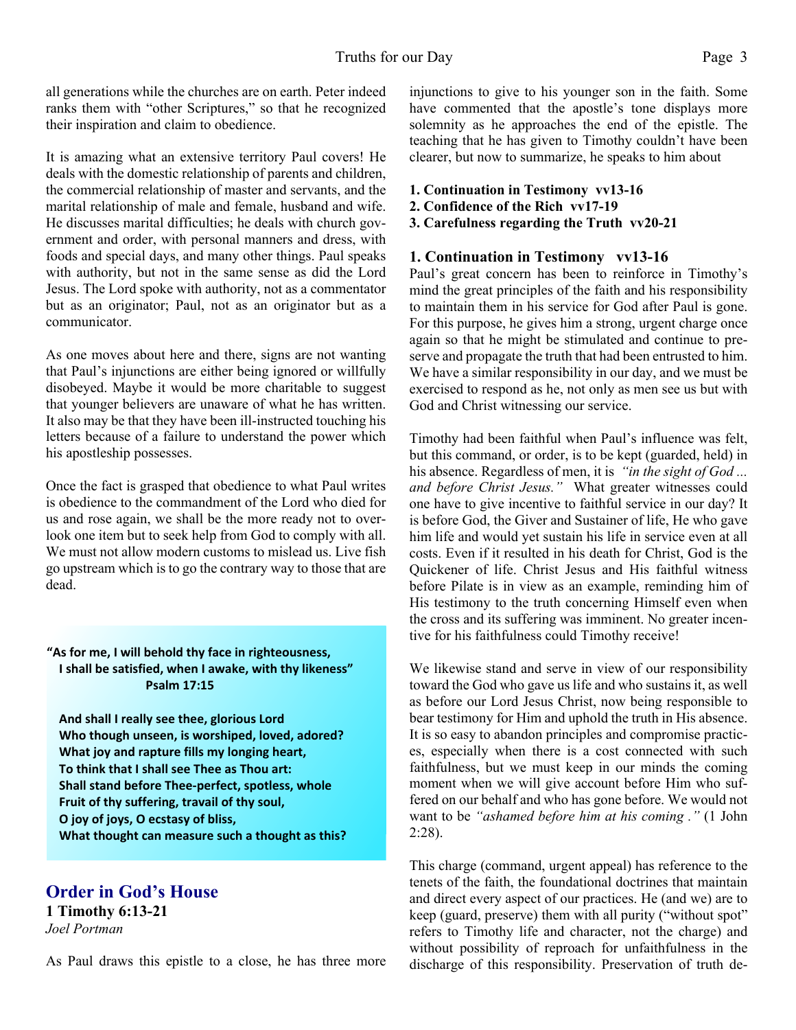all generations while the churches are on earth. Peter indeed ranks them with "other Scriptures," so that he recognized their inspiration and claim to obedience.

It is amazing what an extensive territory Paul covers! He deals with the domestic relationship of parents and children, the commercial relationship of master and servants, and the marital relationship of male and female, husband and wife. He discusses marital difficulties; he deals with church government and order, with personal manners and dress, with foods and special days, and many other things. Paul speaks with authority, but not in the same sense as did the Lord Jesus. The Lord spoke with authority, not as a commentator but as an originator; Paul, not as an originator but as a communicator.

As one moves about here and there, signs are not wanting that Paul's injunctions are either being ignored or willfully disobeyed. Maybe it would be more charitable to suggest that younger believers are unaware of what he has written. It also may be that they have been ill-instructed touching his letters because of a failure to understand the power which his apostleship possesses.

Once the fact is grasped that obedience to what Paul writes is obedience to the commandment of the Lord who died for us and rose again, we shall be the more ready not to overlook one item but to seek help from God to comply with all. We must not allow modern customs to mislead us. Live fish go upstream which is to go the contrary way to those that are dead.

**"As for me, I will behold thy face in righteousness, I shall be satisfied, when I awake, with thy likeness" Psalm 17:15**

 **And shall I really see thee, glorious Lord Who though unseen, is worshiped, loved, adored? What joy and rapture fills my longing heart, To think that I shall see Thee as Thou art: Shall stand before Thee-perfect, spotless, whole Fruit of thy suffering, travail of thy soul, O joy of joys, O ecstasy of bliss, What thought can measure such a thought as this?**

# **Order in God's House**

**1 Timothy 6:13-21** *Joel Portman*

As Paul draws this epistle to a close, he has three more

injunctions to give to his younger son in the faith. Some have commented that the apostle's tone displays more solemnity as he approaches the end of the epistle. The teaching that he has given to Timothy couldn't have been clearer, but now to summarize, he speaks to him about

#### **1. Continuation in Testimony vv13-16**

- **2. Confidence of the Rich vv17-19**
- **3. Carefulness regarding the Truth vv20-21**

#### **1. Continuation in Testimony vv13-16**

Paul's great concern has been to reinforce in Timothy's mind the great principles of the faith and his responsibility to maintain them in his service for God after Paul is gone. For this purpose, he gives him a strong, urgent charge once again so that he might be stimulated and continue to preserve and propagate the truth that had been entrusted to him. We have a similar responsibility in our day, and we must be exercised to respond as he, not only as men see us but with God and Christ witnessing our service.

Timothy had been faithful when Paul's influence was felt, but this command, or order, is to be kept (guarded, held) in his absence. Regardless of men, it is *"in the sight of God ... and before Christ Jesus."* What greater witnesses could one have to give incentive to faithful service in our day? It is before God, the Giver and Sustainer of life, He who gave him life and would yet sustain his life in service even at all costs. Even if it resulted in his death for Christ, God is the Quickener of life. Christ Jesus and His faithful witness before Pilate is in view as an example, reminding him of His testimony to the truth concerning Himself even when the cross and its suffering was imminent. No greater incentive for his faithfulness could Timothy receive!

We likewise stand and serve in view of our responsibility toward the God who gave us life and who sustains it, as well as before our Lord Jesus Christ, now being responsible to bear testimony for Him and uphold the truth in His absence. It is so easy to abandon principles and compromise practices, especially when there is a cost connected with such faithfulness, but we must keep in our minds the coming moment when we will give account before Him who suffered on our behalf and who has gone before. We would not want to be *"ashamed before him at his coming ."* (1 John 2:28).

This charge (command, urgent appeal) has reference to the tenets of the faith, the foundational doctrines that maintain and direct every aspect of our practices. He (and we) are to keep (guard, preserve) them with all purity ("without spot" refers to Timothy life and character, not the charge) and without possibility of reproach for unfaithfulness in the discharge of this responsibility. Preservation of truth de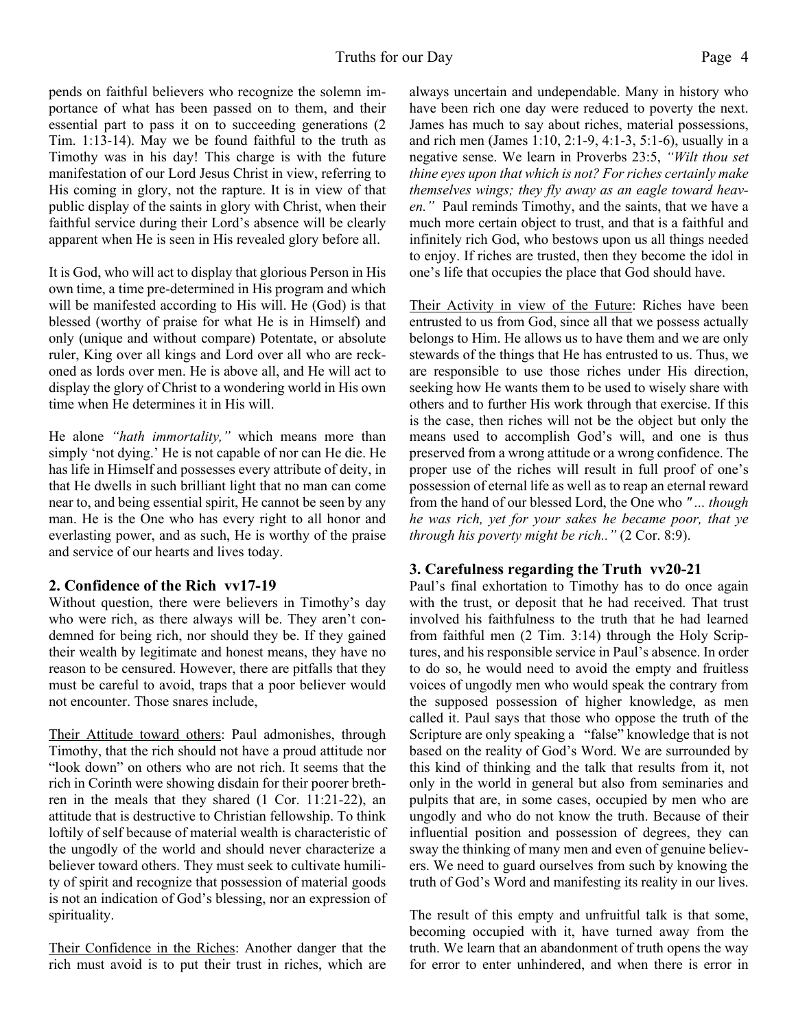pends on faithful believers who recognize the solemn importance of what has been passed on to them, and their essential part to pass it on to succeeding generations (2 Tim. 1:13-14). May we be found faithful to the truth as Timothy was in his day! This charge is with the future manifestation of our Lord Jesus Christ in view, referring to His coming in glory, not the rapture. It is in view of that public display of the saints in glory with Christ, when their faithful service during their Lord's absence will be clearly apparent when He is seen in His revealed glory before all.

It is God, who will act to display that glorious Person in His own time, a time pre-determined in His program and which will be manifested according to His will. He (God) is that blessed (worthy of praise for what He is in Himself) and only (unique and without compare) Potentate, or absolute ruler, King over all kings and Lord over all who are reckoned as lords over men. He is above all, and He will act to display the glory of Christ to a wondering world in His own time when He determines it in His will.

He alone *"hath immortality,"* which means more than simply 'not dying.' He is not capable of nor can He die. He has life in Himself and possesses every attribute of deity, in that He dwells in such brilliant light that no man can come near to, and being essential spirit, He cannot be seen by any man. He is the One who has every right to all honor and everlasting power, and as such, He is worthy of the praise and service of our hearts and lives today.

#### **2. Confidence of the Rich vv17-19**

Without question, there were believers in Timothy's day who were rich, as there always will be. They aren't condemned for being rich, nor should they be. If they gained their wealth by legitimate and honest means, they have no reason to be censured. However, there are pitfalls that they must be careful to avoid, traps that a poor believer would not encounter. Those snares include,

Their Attitude toward others: Paul admonishes, through Timothy, that the rich should not have a proud attitude nor "look down" on others who are not rich. It seems that the rich in Corinth were showing disdain for their poorer brethren in the meals that they shared (1 Cor. 11:21-22), an attitude that is destructive to Christian fellowship. To think loftily of self because of material wealth is characteristic of the ungodly of the world and should never characterize a believer toward others. They must seek to cultivate humility of spirit and recognize that possession of material goods is not an indication of God's blessing, nor an expression of spirituality.

Their Confidence in the Riches: Another danger that the rich must avoid is to put their trust in riches, which are always uncertain and undependable. Many in history who have been rich one day were reduced to poverty the next. James has much to say about riches, material possessions, and rich men (James 1:10, 2:1-9, 4:1-3, 5:1-6), usually in a negative sense. We learn in Proverbs 23:5, *"Wilt thou set thine eyes upon that which is not? For riches certainly make themselves wings; they fly away as an eagle toward heaven."* Paul reminds Timothy, and the saints, that we have a much more certain object to trust, and that is a faithful and infinitely rich God, who bestows upon us all things needed to enjoy. If riches are trusted, then they become the idol in one's life that occupies the place that God should have.

Their Activity in view of the Future: Riches have been entrusted to us from God, since all that we possess actually belongs to Him. He allows us to have them and we are only stewards of the things that He has entrusted to us. Thus, we are responsible to use those riches under His direction, seeking how He wants them to be used to wisely share with others and to further His work through that exercise. If this is the case, then riches will not be the object but only the means used to accomplish God's will, and one is thus preserved from a wrong attitude or a wrong confidence. The proper use of the riches will result in full proof of one's possession of eternal life as well as to reap an eternal reward from the hand of our blessed Lord, the One who *" ... though he was rich, yet for your sakes he became poor, that ye through his poverty might be rich.."* (2 Cor. 8:9).

### **3. Carefulness regarding the Truth vv20-21**

Paul's final exhortation to Timothy has to do once again with the trust, or deposit that he had received. That trust involved his faithfulness to the truth that he had learned from faithful men (2 Tim. 3:14) through the Holy Scriptures, and his responsible service in Paul's absence. In order to do so, he would need to avoid the empty and fruitless voices of ungodly men who would speak the contrary from the supposed possession of higher knowledge, as men called it. Paul says that those who oppose the truth of the Scripture are only speaking a "false" knowledge that is not based on the reality of God's Word. We are surrounded by this kind of thinking and the talk that results from it, not only in the world in general but also from seminaries and pulpits that are, in some cases, occupied by men who are ungodly and who do not know the truth. Because of their influential position and possession of degrees, they can sway the thinking of many men and even of genuine believers. We need to guard ourselves from such by knowing the truth of God's Word and manifesting its reality in our lives.

The result of this empty and unfruitful talk is that some, becoming occupied with it, have turned away from the truth. We learn that an abandonment of truth opens the way for error to enter unhindered, and when there is error in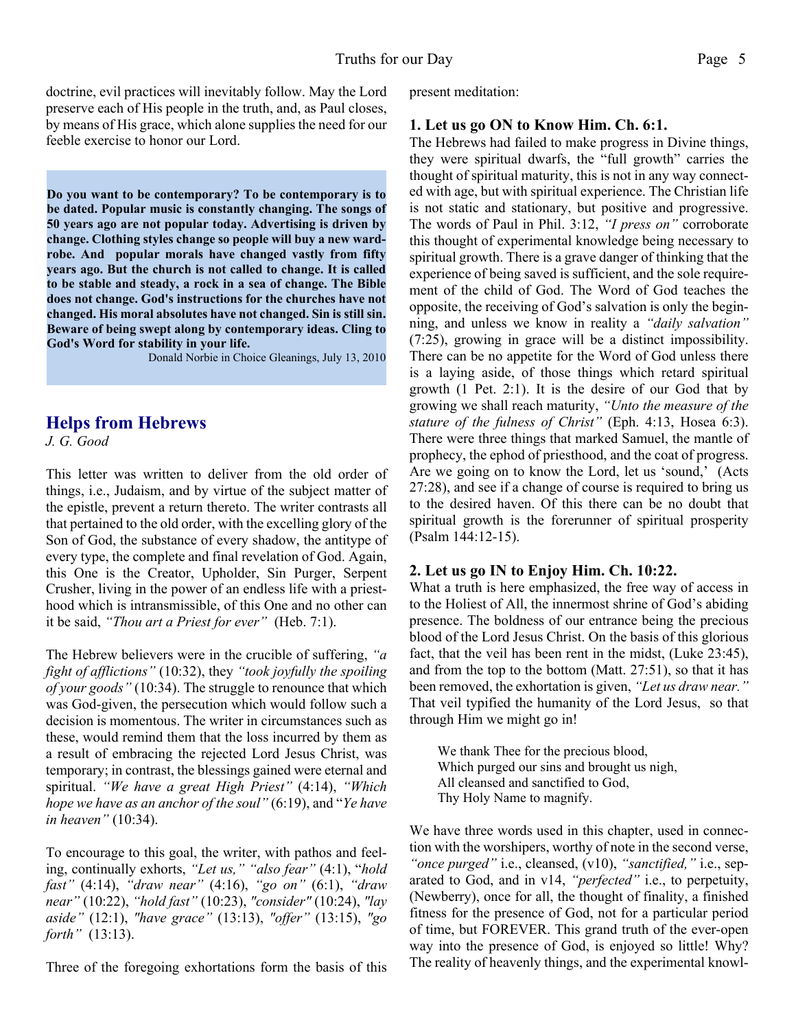doctrine, evil practices will inevitably follow. May the Lord preserve each of His people in the truth, and, as Paul closes, by means of His grace, which alone supplies the need for our feeble exercise to honor our Lord.

**Do you want to be contemporary? To be contemporary is to be dated. Popular music is constantly changing. The songs of 50 years ago are not popular today. Advertising is driven by change. Clothing styles change so people will buy a new wardrobe. And popular morals have changed vastly from fifty years ago. But the church is not called to change. It is called to be stable and steady, a rock in a sea of change. The Bible does not change. God's instructions for the churches have not changed. His moral absolutes have not changed. Sin is still sin. Beware of being swept along by contemporary ideas. Cling to God's Word for stability in your life.**

Donald Norbie in Choice Gleanings, July 13, 2010

### **Helps from Hebrews**

*J. G. Good*

This letter was written to deliver from the old order of things, i.e., Judaism, and by virtue of the subject matter of the epistle, prevent a return thereto. The writer contrasts all that pertained to the old order, with the excelling glory of the Son of God, the substance of every shadow, the antitype of every type, the complete and final revelation of God. Again, this One is the Creator, Upholder, Sin Purger, Serpent Crusher, living in the power of an endless life with a priesthood which is intransmissible, of this One and no other can it be said, *"Thou art a Priest for ever"* (Heb. 7:1).

The Hebrew believers were in the crucible of suffering, *"a fight of afflictions"* (10:32), they *"took joyfully the spoiling of your goods"* (10:34). The struggle to renounce that which was God-given, the persecution which would follow such a decision is momentous. The writer in circumstances such as these, would remind them that the loss incurred by them as a result of embracing the rejected Lord Jesus Christ, was temporary; in contrast, the blessings gained were eternal and spiritual. *"We have a great High Priest"* (4:14), *"Which hope we have as an anchor of the soul"* (6:19), and "*Ye have in heaven"* (10:34).

To encourage to this goal, the writer, with pathos and feeling, continually exhorts, *"Let us," "also fear"* (4:1), "*hold fast"* (4:14), *"draw near"* (4:16), *"go on"* (6:1), *"draw near"* (10:22), *"hold fast"* (10:23), *"consider"* (10:24), *"lay aside"* (12:1), *"have grace"* (13:13), *"offer"* (13:15), *"go forth"* (13:13).

Three of the foregoing exhortations form the basis of this

present meditation:

#### **1. Let us go ON to Know Him. Ch. 6:1.**

The Hebrews had failed to make progress in Divine things, they were spiritual dwarfs, the "full growth" carries the thought of spiritual maturity, this is not in any way connected with age, but with spiritual experience. The Christian life is not static and stationary, but positive and progressive. The words of Paul in Phil. 3:12, *"I press on"* corroborate this thought of experimental knowledge being necessary to spiritual growth. There is a grave danger of thinking that the experience of being saved is sufficient, and the sole requirement of the child of God. The Word of God teaches the opposite, the receiving of God's salvation is only the beginning, and unless we know in reality a *"daily salvation"* (7:25), growing in grace will be a distinct impossibility. There can be no appetite for the Word of God unless there is a laying aside, of those things which retard spiritual growth (1 Pet. 2:1). It is the desire of our God that by growing we shall reach maturity, *"Unto the measure of the stature of the fulness of Christ"* (Eph. 4:13, Hosea 6:3). There were three things that marked Samuel, the mantle of prophecy, the ephod of priesthood, and the coat of progress. Are we going on to know the Lord, let us 'sound,' (Acts 27:28), and see if a change of course is required to bring us to the desired haven. Of this there can be no doubt that spiritual growth is the forerunner of spiritual prosperity (Psalm 144:12-15).

#### **2. Let us go IN to Enjoy Him. Ch. 10:22.**

What a truth is here emphasized, the free way of access in to the Holiest of All, the innermost shrine of God's abiding presence. The boldness of our entrance being the precious blood of the Lord Jesus Christ. On the basis of this glorious fact, that the veil has been rent in the midst, (Luke 23:45), and from the top to the bottom (Matt. 27:51), so that it has been removed, the exhortation is given, *"Let us draw near."* That veil typified the humanity of the Lord Jesus, so that through Him we might go in!

We thank Thee for the precious blood, Which purged our sins and brought us nigh, All cleansed and sanctified to God, Thy Holy Name to magnify.

We have three words used in this chapter, used in connection with the worshipers, worthy of note in the second verse, *"once purged"* i.e., cleansed, (v10), *"sanctified,"* i.e., separated to God, and in v14, *"perfected"* i.e., to perpetuity, (Newberry), once for all, the thought of finality, a finished fitness for the presence of God, not for a particular period of time, but FOREVER. This grand truth of the ever-open way into the presence of God, is enjoyed so little! Why? The reality of heavenly things, and the experimental knowl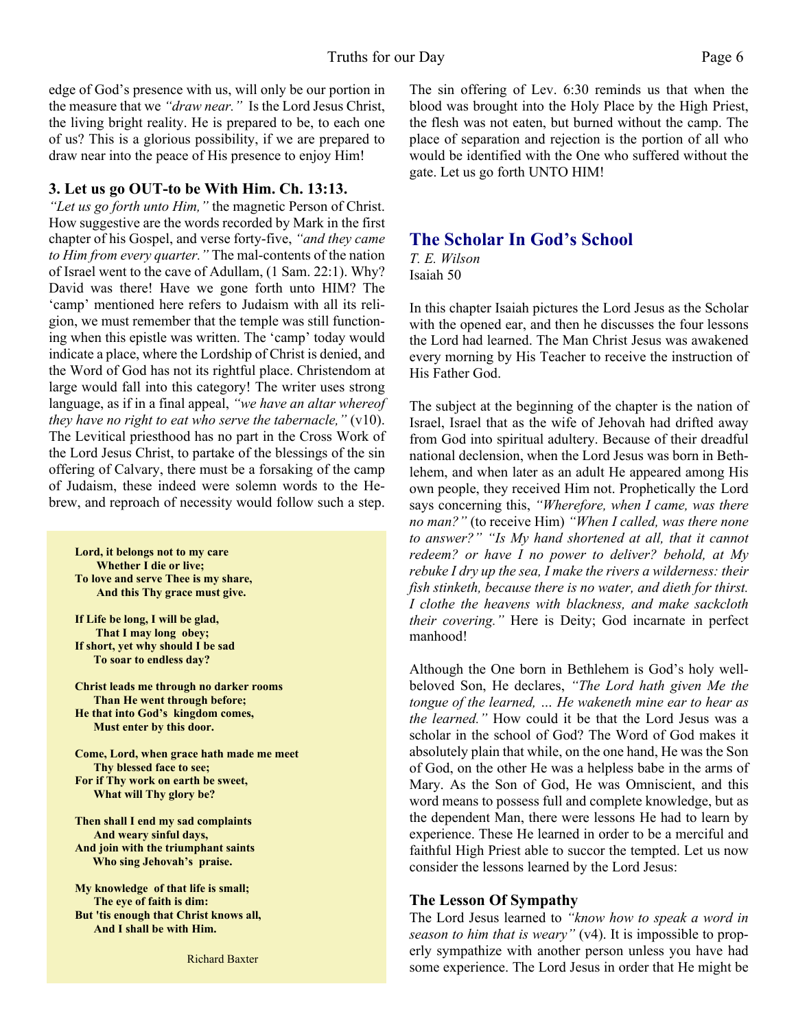edge of God's presence with us, will only be our portion in the measure that we *"draw near."* Is the Lord Jesus Christ, the living bright reality. He is prepared to be, to each one of us? This is a glorious possibility, if we are prepared to draw near into the peace of His presence to enjoy Him!

#### **3. Let us go OUT-to be With Him. Ch. 13:13.**

*"Let us go forth unto Him,"* the magnetic Person of Christ. How suggestive are the words recorded by Mark in the first chapter of his Gospel, and verse forty-five, *"and they came to Him from every quarter."* The mal-contents of the nation of Israel went to the cave of Adullam, (1 Sam. 22:1). Why? David was there! Have we gone forth unto HIM? The 'camp' mentioned here refers to Judaism with all its religion, we must remember that the temple was still functioning when this epistle was written. The 'camp' today would indicate a place, where the Lordship of Christ is denied, and the Word of God has not its rightful place. Christendom at large would fall into this category! The writer uses strong language, as if in a final appeal, *"we have an altar whereof they have no right to eat who serve the tabernacle,"* (v10). The Levitical priesthood has no part in the Cross Work of the Lord Jesus Christ, to partake of the blessings of the sin offering of Calvary, there must be a forsaking of the camp of Judaism, these indeed were solemn words to the Hebrew, and reproach of necessity would follow such a step.

**Lord, it belongs not to my care Whether I die or live; To love and serve Thee is my share, And this Thy grace must give.**

**If Life be long, I will be glad, That I may long obey; If short, yet why should I be sad To soar to endless day?**

**Christ leads me through no darker rooms Than He went through before; He that into God's kingdom comes, Must enter by this door.**

**Come, Lord, when grace hath made me meet Thy blessed face to see; For if Thy work on earth be sweet, What will Thy glory be?**

**Then shall I end my sad complaints And weary sinful days, And join with the triumphant saints Who sing Jehovah's praise.**

**My knowledge of that life is small; The eye of faith is dim: But 'tis enough that Christ knows all, And I shall be with Him.**

Richard Baxter

The sin offering of Lev. 6:30 reminds us that when the blood was brought into the Holy Place by the High Priest, the flesh was not eaten, but burned without the camp. The place of separation and rejection is the portion of all who would be identified with the One who suffered without the gate. Let us go forth UNTO HIM!

#### **The Scholar In God's School**

*T. E. Wilson* Isaiah 50

In this chapter Isaiah pictures the Lord Jesus as the Scholar with the opened ear, and then he discusses the four lessons the Lord had learned. The Man Christ Jesus was awakened every morning by His Teacher to receive the instruction of His Father God.

The subject at the beginning of the chapter is the nation of Israel, Israel that as the wife of Jehovah had drifted away from God into spiritual adultery. Because of their dreadful national declension, when the Lord Jesus was born in Bethlehem, and when later as an adult He appeared among His own people, they received Him not. Prophetically the Lord says concerning this, *"Wherefore, when I came, was there no man?"* (to receive Him) *"When I called, was there none to answer?" "Is My hand shortened at all, that it cannot redeem? or have I no power to deliver? behold, at My rebuke I dry up the sea, I make the rivers a wilderness: their fish stinketh, because there is no water, and dieth for thirst. I clothe the heavens with blackness, and make sackcloth their covering."* Here is Deity; God incarnate in perfect manhood!

Although the One born in Bethlehem is God's holy wellbeloved Son, He declares, *"The Lord hath given Me the tongue of the learned, … He wakeneth mine ear to hear as the learned."* How could it be that the Lord Jesus was a scholar in the school of God? The Word of God makes it absolutely plain that while, on the one hand, He was the Son of God, on the other He was a helpless babe in the arms of Mary. As the Son of God, He was Omniscient, and this word means to possess full and complete knowledge, but as the dependent Man, there were lessons He had to learn by experience. These He learned in order to be a merciful and faithful High Priest able to succor the tempted. Let us now consider the lessons learned by the Lord Jesus:

#### **The Lesson Of Sympathy**

The Lord Jesus learned to *"know how to speak a word in season to him that is weary"* (v4). It is impossible to properly sympathize with another person unless you have had some experience. The Lord Jesus in order that He might be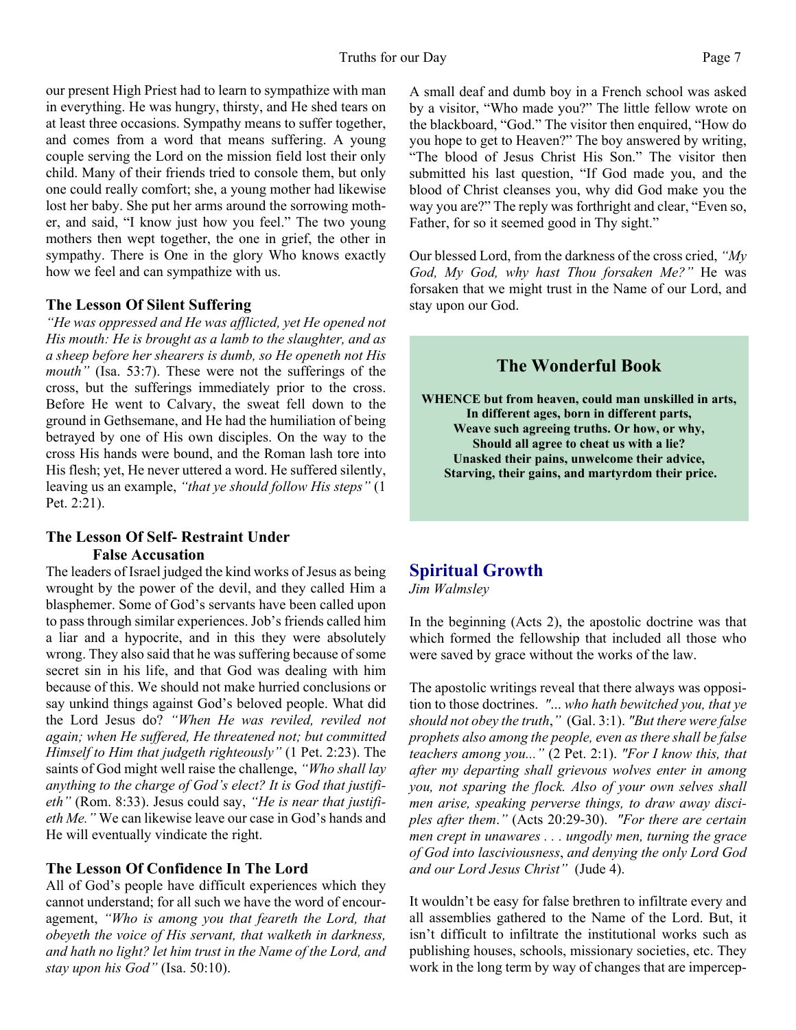our present High Priest had to learn to sympathize with man in everything. He was hungry, thirsty, and He shed tears on at least three occasions. Sympathy means to suffer together, and comes from a word that means suffering. A young couple serving the Lord on the mission field lost their only child. Many of their friends tried to console them, but only one could really comfort; she, a young mother had likewise lost her baby. She put her arms around the sorrowing mother, and said, "I know just how you feel." The two young mothers then wept together, the one in grief, the other in sympathy. There is One in the glory Who knows exactly how we feel and can sympathize with us.

#### **The Lesson Of Silent Suffering**

*"He was oppressed and He was afflicted, yet He opened not His mouth: He is brought as a lamb to the slaughter, and as a sheep before her shearers is dumb, so He openeth not His mouth"* (Isa. 53:7). These were not the sufferings of the cross, but the sufferings immediately prior to the cross. Before He went to Calvary, the sweat fell down to the ground in Gethsemane, and He had the humiliation of being betrayed by one of His own disciples. On the way to the cross His hands were bound, and the Roman lash tore into His flesh; yet, He never uttered a word. He suffered silently, leaving us an example, *"that ye should follow His steps"* (1 Pet. 2:21).

#### **The Lesson Of Self- Restraint Under False Accusation**

The leaders of Israel judged the kind works of Jesus as being wrought by the power of the devil, and they called Him a blasphemer. Some of God's servants have been called upon to pass through similar experiences. Job's friends called him a liar and a hypocrite, and in this they were absolutely wrong. They also said that he was suffering because of some secret sin in his life, and that God was dealing with him because of this. We should not make hurried conclusions or say unkind things against God's beloved people. What did the Lord Jesus do? *"When He was reviled, reviled not again; when He suffered, He threatened not; but committed Himself to Him that judgeth righteously"* (1 Pet. 2:23). The saints of God might well raise the challenge, *"Who shall lay anything to the charge of God's elect? It is God that justifieth"* (Rom. 8:33). Jesus could say, *"He is near that justifieth Me."* We can likewise leave our case in God's hands and He will eventually vindicate the right.

#### **The Lesson Of Confidence In The Lord**

All of God's people have difficult experiences which they cannot understand; for all such we have the word of encouragement, *"Who is among you that feareth the Lord, that obeyeth the voice of His servant, that walketh in darkness, and hath no light? let him trust in the Name of the Lord, and stay upon his God"* (Isa. 50:10).

A small deaf and dumb boy in a French school was asked by a visitor, "Who made you?" The little fellow wrote on the blackboard, "God." The visitor then enquired, "How do you hope to get to Heaven?" The boy answered by writing, "The blood of Jesus Christ His Son." The visitor then submitted his last question, "If God made you, and the blood of Christ cleanses you, why did God make you the way you are?" The reply was forthright and clear, "Even so, Father, for so it seemed good in Thy sight."

Our blessed Lord, from the darkness of the cross cried, *"My God, My God, why hast Thou forsaken Me?"* He was forsaken that we might trust in the Name of our Lord, and stay upon our God.

# **The Wonderful Book**

**WHENCE but from heaven, could man unskilled in arts, In different ages, born in different parts, Weave such agreeing truths. Or how, or why, Should all agree to cheat us with a lie? Unasked their pains, unwelcome their advice, Starving, their gains, and martyrdom their price.**

# **Spiritual Growth**

*Jim Walmsley*

In the beginning (Acts 2), the apostolic doctrine was that which formed the fellowship that included all those who were saved by grace without the works of the law.

The apostolic writings reveal that there always was opposition to those doctrines. *"*... *who hath bewitched you, that ye should not obey the truth*,*"* (Gal. 3:1). *"But there were false prophets also among the people, even as there shall be false teachers among you..."* (2 Pet. 2:1). *"For I know this, that after my departing shall grievous wolves enter in among you, not sparing the flock. Also of your own selves shall men arise, speaking perverse things, to draw away disciples after them*.*"* (Acts 20:29-30). *"For there are certain men crept in unawares . . . ungodly men, turning the grace of God into lasciviousness*, *and denying the only Lord God and our Lord Jesus Christ"* (Jude 4).

It wouldn't be easy for false brethren to infiltrate every and all assemblies gathered to the Name of the Lord. But, it isn't difficult to infiltrate the institutional works such as publishing houses, schools, missionary societies, etc. They work in the long term by way of changes that are impercep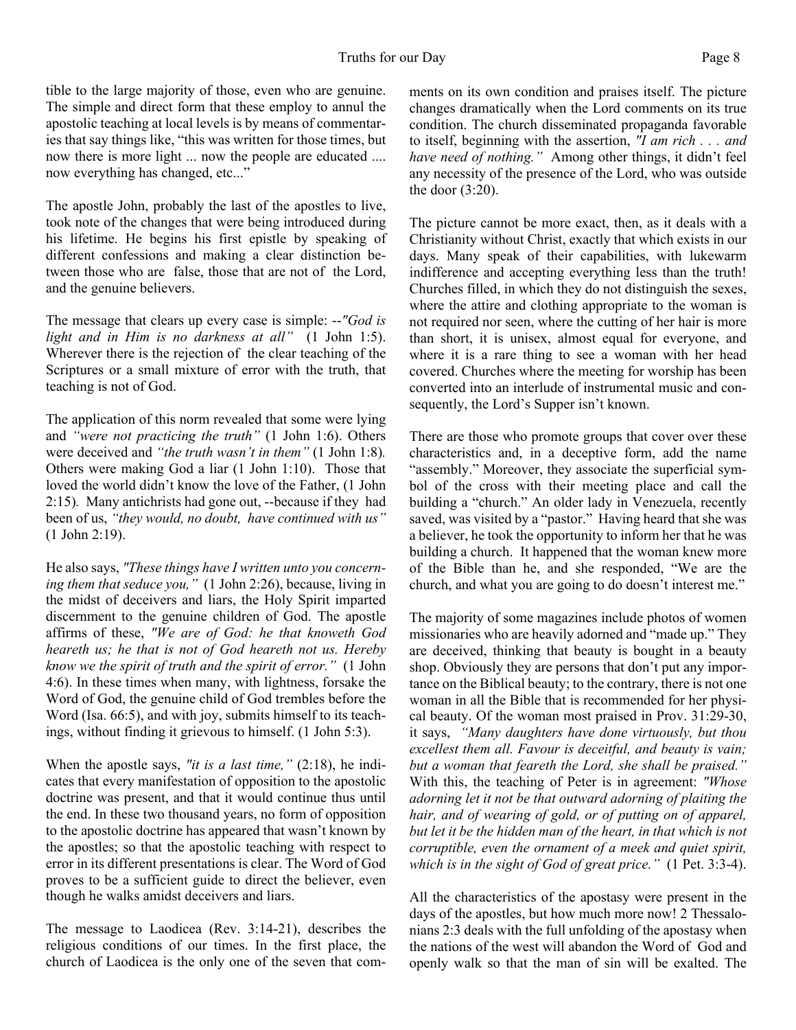tible to the large majority of those, even who are genuine. The simple and direct form that these employ to annul the apostolic teaching at local levels is by means of commentaries that say things like, "this was written for those times, but now there is more light ... now the people are educated .... now everything has changed, etc..."

The apostle John, probably the last of the apostles to live, took note of the changes that were being introduced during his lifetime. He begins his first epistle by speaking of different confessions and making a clear distinction between those who are false, those that are not of the Lord, and the genuine believers.

The message that clears up every case is simple: --*"God is light and in Him is no darkness at all"* (1 John 1:5). Wherever there is the rejection of the clear teaching of the Scriptures or a small mixture of error with the truth, that teaching is not of God.

The application of this norm revealed that some were lying and *"were not practicing the truth"* (1 John 1:6). Others were deceived and *"the truth wasn't in them"* (1 John 1:8)*.* Others were making God a liar (1 John 1:10). Those that loved the world didn't know the love of the Father, (1 John 2:15)*.* Many antichrists had gone out, --because if they had been of us, *"they would, no doubt, have continued with us"* (1 John 2:19).

He also says, *"These things have I written unto you concerning them that seduce you,"* (1 John 2:26), because, living in the midst of deceivers and liars, the Holy Spirit imparted discernment to the genuine children of God. The apostle affirms of these, *"We are of God: he that knoweth God heareth us; he that is not of God heareth not us. Hereby know we the spirit of truth and the spirit of error."* (1 John 4:6). In these times when many, with lightness, forsake the Word of God, the genuine child of God trembles before the Word (Isa. 66:5), and with joy, submits himself to its teachings, without finding it grievous to himself. (1 John 5:3).

When the apostle says, *"it is a last time,"* (2:18), he indicates that every manifestation of opposition to the apostolic doctrine was present, and that it would continue thus until the end. In these two thousand years, no form of opposition to the apostolic doctrine has appeared that wasn't known by the apostles; so that the apostolic teaching with respect to error in its different presentations is clear. The Word of God proves to be a sufficient guide to direct the believer, even though he walks amidst deceivers and liars.

The message to Laodicea (Rev. 3:14-21), describes the religious conditions of our times. In the first place, the church of Laodicea is the only one of the seven that comments on its own condition and praises itself. The picture changes dramatically when the Lord comments on its true condition. The church disseminated propaganda favorable to itself, beginning with the assertion, *"I am rich . . . and have need of nothing."* Among other things, it didn't feel any necessity of the presence of the Lord, who was outside the door (3:20).

The picture cannot be more exact, then, as it deals with a Christianity without Christ, exactly that which exists in our days. Many speak of their capabilities, with lukewarm indifference and accepting everything less than the truth! Churches filled, in which they do not distinguish the sexes, where the attire and clothing appropriate to the woman is not required nor seen, where the cutting of her hair is more than short, it is unisex, almost equal for everyone, and where it is a rare thing to see a woman with her head covered. Churches where the meeting for worship has been converted into an interlude of instrumental music and consequently, the Lord's Supper isn't known.

There are those who promote groups that cover over these characteristics and, in a deceptive form, add the name "assembly." Moreover, they associate the superficial symbol of the cross with their meeting place and call the building a "church." An older lady in Venezuela, recently saved, was visited by a "pastor." Having heard that she was a believer, he took the opportunity to inform her that he was building a church. It happened that the woman knew more of the Bible than he, and she responded, "We are the church, and what you are going to do doesn't interest me."

The majority of some magazines include photos of women missionaries who are heavily adorned and "made up." They are deceived, thinking that beauty is bought in a beauty shop. Obviously they are persons that don't put any importance on the Biblical beauty; to the contrary, there is not one woman in all the Bible that is recommended for her physical beauty. Of the woman most praised in Prov. 31:29-30, it says, *"Many daughters have done virtuously, but thou excellest them all. Favour is deceitful, and beauty is vain; but a woman that feareth the Lord, she shall be praised."* With this, the teaching of Peter is in agreement: *"Whose adorning let it not be that outward adorning of plaiting the hair, and of wearing of gold, or of putting on of apparel, but let it be the hidden man of the heart, in that which is not corruptible, even the ornament of a meek and quiet spirit, which is in the sight of God of great price."* (1 Pet. 3:3-4).

All the characteristics of the apostasy were present in the days of the apostles, but how much more now! 2 Thessalonians 2:3 deals with the full unfolding of the apostasy when the nations of the west will abandon the Word of God and openly walk so that the man of sin will be exalted. The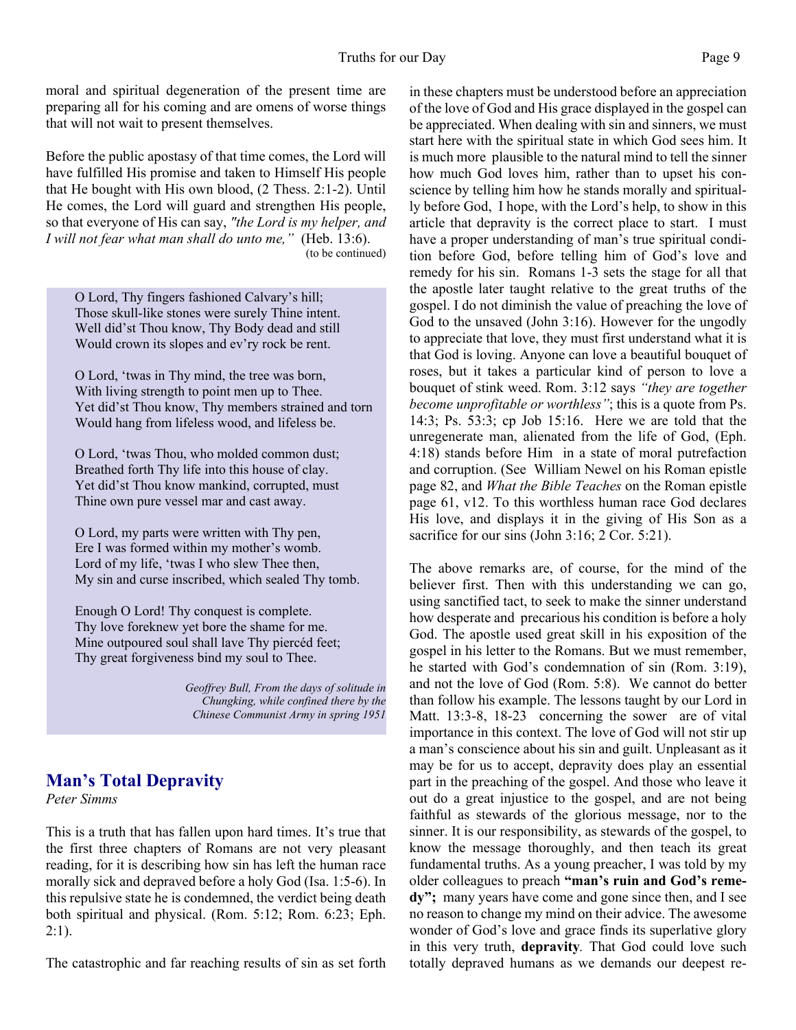moral and spiritual degeneration of the present time are preparing all for his coming and are omens of worse things that will not wait to present themselves.

Before the public apostasy of that time comes, the Lord will have fulfilled His promise and taken to Himself His people that He bought with His own blood, (2 Thess. 2:1-2). Until He comes, the Lord will guard and strengthen His people, so that everyone of His can say, *"the Lord is my helper, and I will not fear what man shall do unto me,"* (Heb. 13:6). (to be continued)

O Lord, Thy fingers fashioned Calvary's hill; Those skull-like stones were surely Thine intent. Well did'st Thou know, Thy Body dead and still Would crown its slopes and ev'ry rock be rent.

O Lord, 'twas in Thy mind, the tree was born, With living strength to point men up to Thee. Yet did'st Thou know, Thy members strained and torn Would hang from lifeless wood, and lifeless be.

O Lord, 'twas Thou, who molded common dust; Breathed forth Thy life into this house of clay. Yet did'st Thou know mankind, corrupted, must Thine own pure vessel mar and cast away.

O Lord, my parts were written with Thy pen, Ere I was formed within my mother's womb. Lord of my life, 'twas I who slew Thee then, My sin and curse inscribed, which sealed Thy tomb.

Enough O Lord! Thy conquest is complete. Thy love foreknew yet bore the shame for me. Mine outpoured soul shall lave Thy piercéd feet; Thy great forgiveness bind my soul to Thee.

> *Geoffrey Bull, From the days of solitude in Chungking, while confined there by the Chinese Communist Army in spring 1951*

# **Man's Total Depravity**

*Peter Simms*

This is a truth that has fallen upon hard times. It's true that the first three chapters of Romans are not very pleasant reading, for it is describing how sin has left the human race morally sick and depraved before a holy God (Isa. 1:5-6). In this repulsive state he is condemned, the verdict being death both spiritual and physical. (Rom. 5:12; Rom. 6:23; Eph.  $2:1$ ).

The catastrophic and far reaching results of sin as set forth

in these chapters must be understood before an appreciation of the love of God and His grace displayed in the gospel can be appreciated. When dealing with sin and sinners, we must start here with the spiritual state in which God sees him. It is much more plausible to the natural mind to tell the sinner how much God loves him, rather than to upset his conscience by telling him how he stands morally and spiritually before God, I hope, with the Lord's help, to show in this article that depravity is the correct place to start. I must have a proper understanding of man's true spiritual condition before God, before telling him of God's love and remedy for his sin. Romans 1-3 sets the stage for all that the apostle later taught relative to the great truths of the gospel. I do not diminish the value of preaching the love of God to the unsaved (John 3:16). However for the ungodly to appreciate that love, they must first understand what it is that God is loving. Anyone can love a beautiful bouquet of roses, but it takes a particular kind of person to love a bouquet of stink weed. Rom. 3:12 says *"they are together become unprofitable or worthless"*; this is a quote from Ps. 14:3; Ps. 53:3; cp Job 15:16. Here we are told that the unregenerate man, alienated from the life of God, (Eph. 4:18) stands before Him in a state of moral putrefaction and corruption. (See William Newel on his Roman epistle page 82, and *What the Bible Teaches* on the Roman epistle page 61, v12. To this worthless human race God declares His love, and displays it in the giving of His Son as a sacrifice for our sins (John 3:16; 2 Cor. 5:21).

The above remarks are, of course, for the mind of the believer first. Then with this understanding we can go, using sanctified tact, to seek to make the sinner understand how desperate and precarious his condition is before a holy God. The apostle used great skill in his exposition of the gospel in his letter to the Romans. But we must remember, he started with God's condemnation of sin (Rom. 3:19), and not the love of God (Rom. 5:8). We cannot do better than follow his example. The lessons taught by our Lord in Matt. 13:3-8, 18-23 concerning the sower are of vital importance in this context. The love of God will not stir up a man's conscience about his sin and guilt. Unpleasant as it may be for us to accept, depravity does play an essential part in the preaching of the gospel. And those who leave it out do a great injustice to the gospel, and are not being faithful as stewards of the glorious message, nor to the sinner. It is our responsibility, as stewards of the gospel, to know the message thoroughly, and then teach its great fundamental truths. As a young preacher, I was told by my older colleagues to preach **"man's ruin and God's remedy";** many years have come and gone since then, and I see no reason to change my mind on their advice. The awesome wonder of God's love and grace finds its superlative glory in this very truth, **depravity***.* That God could love such totally depraved humans as we demands our deepest re